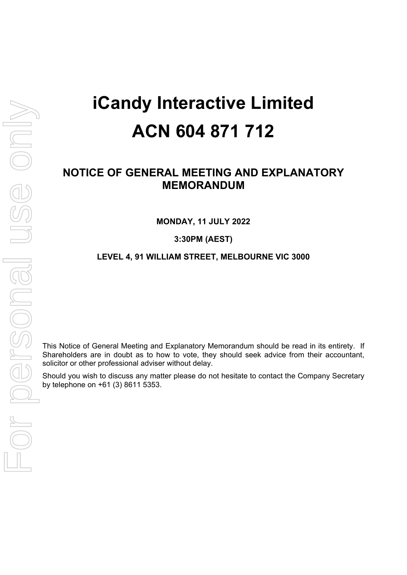# **iCandy Interactive Limited ACN 604 871 712**

# **NOTICE OF GENERAL MEETING AND EXPLANATORY MEMORANDUM**

**MONDAY, 11 JULY 2022** 

**3:30PM (AEST)** 

#### **LEVEL 4, 91 WILLIAM STREET, MELBOURNE VIC 3000**

This Notice of General Meeting and Explanatory Memorandum should be read in its entirety. If Shareholders are in doubt as to how to vote, they should seek advice from their accountant, solicitor or other professional adviser without delay.

Should you wish to discuss any matter please do not hesitate to contact the Company Secretary by telephone on +61 (3) 8611 5353.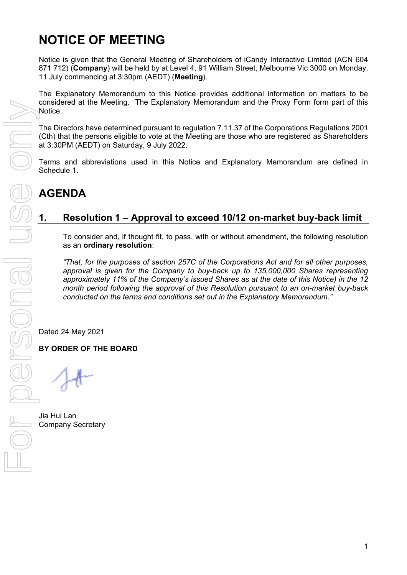# **NOTICE OF MEETING**

Notice is given that the General Meeting of Shareholders of iCandy Interactive Limited (ACN 604 871 712) (**Company**) will be held by at Level 4, 91 William Street, Melbourne Vic 3000 on Monday, 11 July commencing at 3:30pm (AEDT) (**Meeting**).

The Explanatory Memorandum to this Notice provides additional information on matters to be considered at the Meeting. The Explanatory Memorandum and the Proxy Form form part of this Notice.

The Directors have determined pursuant to regulation 7.11.37 of the Corporations Regulations 2001 (Cth) that the persons eligible to vote at the Meeting are those who are registered as Shareholders at 3:30PM (AEDT) on Saturday, 9 July 2022.

Terms and abbreviations used in this Notice and Explanatory Memorandum are defined in Schedule 1.

# **AGENDA**

### **1. Resolution 1 – Approval to exceed 10/12 on-market buy-back limit**

To consider and, if thought fit, to pass, with or without amendment, the following resolution as an **ordinary resolution**:

*"That, for the purposes of section 257C of the Corporations Act and for all other purposes, approval is given for the Company to buy-back up to 135,000,000 Shares representing approximately 11% of the Company's issued Shares as at the date of this Notice) in the 12 month period following the approval of this Resolution pursuant to an on-market buy-back conducted on the terms and conditions set out in the Explanatory Memorandum."* 

Dated 24 May 2021

**BY ORDER OF THE BOARD** 

Jia Hui Lan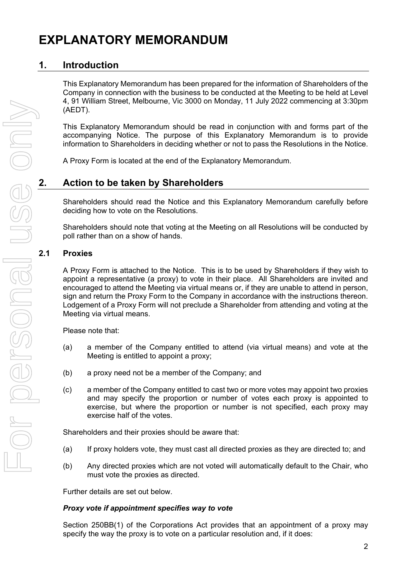# **EXPLANATORY MEMORANDUM**

## **1. Introduction**

This Explanatory Memorandum has been prepared for the information of Shareholders of the Company in connection with the business to be conducted at the Meeting to be held at Level 4, 91 William Street, Melbourne, Vic 3000 on Monday, 11 July 2022 commencing at 3:30pm (AEDT).

This Explanatory Memorandum should be read in conjunction with and forms part of the accompanying Notice. The purpose of this Explanatory Memorandum is to provide information to Shareholders in deciding whether or not to pass the Resolutions in the Notice.

A Proxy Form is located at the end of the Explanatory Memorandum.

### **2. Action to be taken by Shareholders**

Shareholders should read the Notice and this Explanatory Memorandum carefully before deciding how to vote on the Resolutions.

Shareholders should note that voting at the Meeting on all Resolutions will be conducted by poll rather than on a show of hands.

#### **2.1 Proxies**

A Proxy Form is attached to the Notice. This is to be used by Shareholders if they wish to appoint a representative (a proxy) to vote in their place. All Shareholders are invited and encouraged to attend the Meeting via virtual means or, if they are unable to attend in person, sign and return the Proxy Form to the Company in accordance with the instructions thereon. Lodgement of a Proxy Form will not preclude a Shareholder from attending and voting at the Meeting via virtual means.

Please note that:

- (a) a member of the Company entitled to attend (via virtual means) and vote at the Meeting is entitled to appoint a proxy;
- (b) a proxy need not be a member of the Company; and
- (c) a member of the Company entitled to cast two or more votes may appoint two proxies and may specify the proportion or number of votes each proxy is appointed to exercise, but where the proportion or number is not specified, each proxy may exercise half of the votes.

Shareholders and their proxies should be aware that:

- (a) If proxy holders vote, they must cast all directed proxies as they are directed to; and
- (b) Any directed proxies which are not voted will automatically default to the Chair, who must vote the proxies as directed.

Further details are set out below.

#### *Proxy vote if appointment specifies way to vote*

Section 250BB(1) of the Corporations Act provides that an appointment of a proxy may specify the way the proxy is to vote on a particular resolution and, if it does: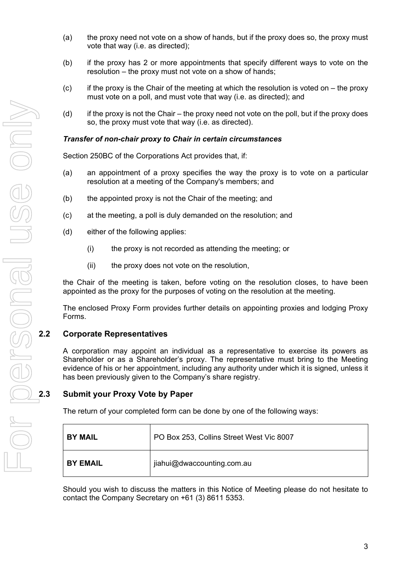- (a) the proxy need not vote on a show of hands, but if the proxy does so, the proxy must vote that way (i.e. as directed);
- (b) if the proxy has 2 or more appointments that specify different ways to vote on the resolution – the proxy must not vote on a show of hands;
- $(c)$  if the proxy is the Chair of the meeting at which the resolution is voted on the proxy must vote on a poll, and must vote that way (i.e. as directed); and
- (d) if the proxy is not the Chair the proxy need not vote on the poll, but if the proxy does so, the proxy must vote that way (i.e. as directed).

#### *Transfer of non-chair proxy to Chair in certain circumstances*

Section 250BC of the Corporations Act provides that, if:

- (a) an appointment of a proxy specifies the way the proxy is to vote on a particular resolution at a meeting of the Company's members; and
- (b) the appointed proxy is not the Chair of the meeting; and
- (c) at the meeting, a poll is duly demanded on the resolution; and
- (d) either of the following applies:
	- (i) the proxy is not recorded as attending the meeting; or
	- (ii) the proxy does not vote on the resolution,

the Chair of the meeting is taken, before voting on the resolution closes, to have been appointed as the proxy for the purposes of voting on the resolution at the meeting.

The enclosed Proxy Form provides further details on appointing proxies and lodging Proxy Forms.

#### **2.2 Corporate Representatives**

A corporation may appoint an individual as a representative to exercise its powers as Shareholder or as a Shareholder's proxy. The representative must bring to the Meeting evidence of his or her appointment, including any authority under which it is signed, unless it has been previously given to the Company's share registry.

#### **2.3 Submit your Proxy Vote by Paper**

The return of your completed form can be done by one of the following ways:

| <b>BY MAIL</b>  | PO Box 253, Collins Street West Vic 8007 |  |
|-----------------|------------------------------------------|--|
| <b>BY EMAIL</b> | jiahui@dwaccounting.com.au               |  |

Should you wish to discuss the matters in this Notice of Meeting please do not hesitate to contact the Company Secretary on +61 (3) 8611 5353.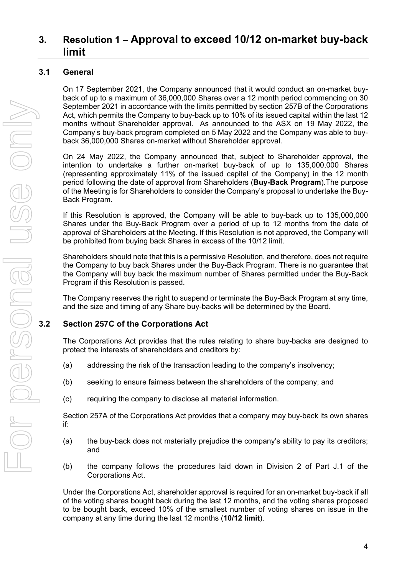# **3. Resolution 1 – Approval to exceed 10/12 on-market buy-back limit**

### **3.1 General**

On 17 September 2021, the Company announced that it would conduct an on-market buyback of up to a maximum of 36,000,000 Shares over a 12 month period commencing on 30 September 2021 in accordance with the limits permitted by section 257B of the Corporations Act, which permits the Company to buy-back up to 10% of its issued capital within the last 12 months without Shareholder approval. As announced to the ASX on 19 May 2022, the Company's buy-back program completed on 5 May 2022 and the Company was able to buyback 36,000,000 Shares on-market without Shareholder approval.

On 24 May 2022, the Company announced that, subject to Shareholder approval, the intention to undertake a further on-market buy-back of up to 135,000,000 Shares (representing approximately 11% of the issued capital of the Company) in the 12 month period following the date of approval from Shareholders (**Buy-Back Program**).The purpose of the Meeting is for Shareholders to consider the Company's proposal to undertake the Buy-Back Program.

If this Resolution is approved, the Company will be able to buy-back up to 135,000,000 Shares under the Buy-Back Program over a period of up to 12 months from the date of approval of Shareholders at the Meeting. If this Resolution is not approved, the Company will be prohibited from buying back Shares in excess of the 10/12 limit.

Shareholders should note that this is a permissive Resolution, and therefore, does not require the Company to buy back Shares under the Buy-Back Program. There is no guarantee that the Company will buy back the maximum number of Shares permitted under the Buy-Back Program if this Resolution is passed.

The Company reserves the right to suspend or terminate the Buy-Back Program at any time, and the size and timing of any Share buy-backs will be determined by the Board.

#### **3.2 Section 257C of the Corporations Act**

The Corporations Act provides that the rules relating to share buy-backs are designed to protect the interests of shareholders and creditors by:

- (a) addressing the risk of the transaction leading to the company's insolvency;
- (b) seeking to ensure fairness between the shareholders of the company; and
- (c) requiring the company to disclose all material information.

Section 257A of the Corporations Act provides that a company may buy-back its own shares if:

- (a) the buy-back does not materially prejudice the company's ability to pay its creditors; and
- (b) the company follows the procedures laid down in Division 2 of Part J.1 of the Corporations Act.

Under the Corporations Act, shareholder approval is required for an on-market buy-back if all of the voting shares bought back during the last 12 months, and the voting shares proposed to be bought back, exceed 10% of the smallest number of voting shares on issue in the company at any time during the last 12 months (**10/12 limit**).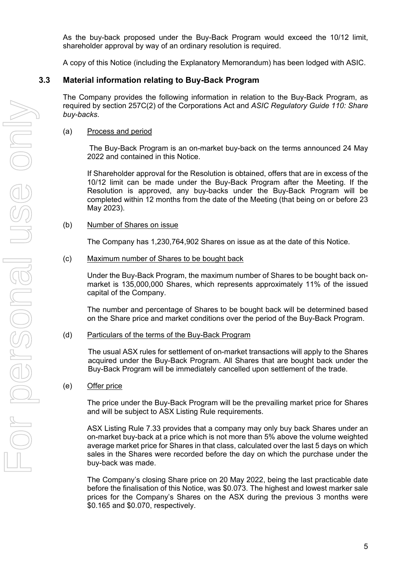As the buy-back proposed under the Buy-Back Program would exceed the 10/12 limit, shareholder approval by way of an ordinary resolution is required.

A copy of this Notice (including the Explanatory Memorandum) has been lodged with ASIC.

#### **3.3 Material information relating to Buy-Back Program**

The Company provides the following information in relation to the Buy-Back Program, as required by section 257C(2) of the Corporations Act and *ASIC Regulatory Guide 110: Share buy-backs*.

#### (a) Process and period

 The Buy-Back Program is an on-market buy-back on the terms announced 24 May 2022 and contained in this Notice.

If Shareholder approval for the Resolution is obtained, offers that are in excess of the 10/12 limit can be made under the Buy-Back Program after the Meeting. If the Resolution is approved, any buy-backs under the Buy-Back Program will be completed within 12 months from the date of the Meeting (that being on or before 23 May 2023).

#### (b) Number of Shares on issue

The Company has 1,230,764,902 Shares on issue as at the date of this Notice.

(c) Maximum number of Shares to be bought back

Under the Buy-Back Program, the maximum number of Shares to be bought back onmarket is 135,000,000 Shares, which represents approximately 11% of the issued capital of the Company.

The number and percentage of Shares to be bought back will be determined based on the Share price and market conditions over the period of the Buy-Back Program.

(d) Particulars of the terms of the Buy-Back Program

The usual ASX rules for settlement of on-market transactions will apply to the Shares acquired under the Buy-Back Program. All Shares that are bought back under the Buy-Back Program will be immediately cancelled upon settlement of the trade.

(e) Offer price

The price under the Buy-Back Program will be the prevailing market price for Shares and will be subject to ASX Listing Rule requirements.

ASX Listing Rule 7.33 provides that a company may only buy back Shares under an on-market buy-back at a price which is not more than 5% above the volume weighted average market price for Shares in that class, calculated over the last 5 days on which sales in the Shares were recorded before the day on which the purchase under the buy-back was made.

The Company's closing Share price on 20 May 2022, being the last practicable date before the finalisation of this Notice, was \$0.073. The highest and lowest marker sale prices for the Company's Shares on the ASX during the previous 3 months were \$0.165 and \$0.070, respectively.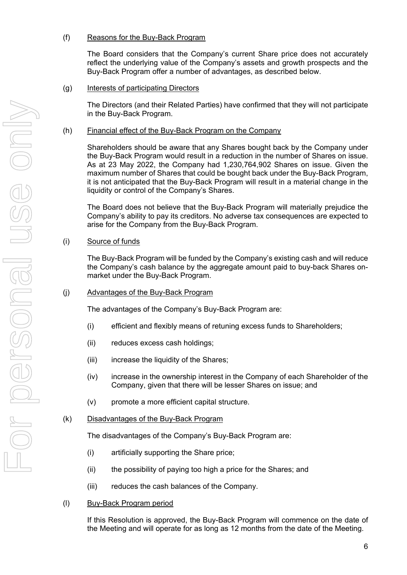#### (f) Reasons for the Buy-Back Program

The Board considers that the Company's current Share price does not accurately reflect the underlying value of the Company's assets and growth prospects and the Buy-Back Program offer a number of advantages, as described below.

#### (g) Interests of participating Directors

The Directors (and their Related Parties) have confirmed that they will not participate in the Buy-Back Program.

#### (h) Financial effect of the Buy-Back Program on the Company

Shareholders should be aware that any Shares bought back by the Company under the Buy-Back Program would result in a reduction in the number of Shares on issue. As at 23 May 2022, the Company had 1,230,764,902 Shares on issue. Given the maximum number of Shares that could be bought back under the Buy-Back Program, it is not anticipated that the Buy-Back Program will result in a material change in the liquidity or control of the Company's Shares.

The Board does not believe that the Buy-Back Program will materially prejudice the Company's ability to pay its creditors. No adverse tax consequences are expected to arise for the Company from the Buy-Back Program.

#### (i) Source of funds

The Buy-Back Program will be funded by the Company's existing cash and will reduce the Company's cash balance by the aggregate amount paid to buy-back Shares onmarket under the Buy-Back Program.

#### (j) Advantages of the Buy-Back Program

The advantages of the Company's Buy-Back Program are:

- (i) efficient and flexibly means of retuning excess funds to Shareholders;
- (ii) reduces excess cash holdings;
- (iii) increase the liquidity of the Shares;
- (iv) increase in the ownership interest in the Company of each Shareholder of the Company, given that there will be lesser Shares on issue; and
- (v) promote a more efficient capital structure.

#### (k) Disadvantages of the Buy-Back Program

The disadvantages of the Company's Buy-Back Program are:

- (i) artificially supporting the Share price;
- (ii) the possibility of paying too high a price for the Shares; and
- (iii) reduces the cash balances of the Company.

#### (l) Buy-Back Program period

If this Resolution is approved, the Buy-Back Program will commence on the date of the Meeting and will operate for as long as 12 months from the date of the Meeting.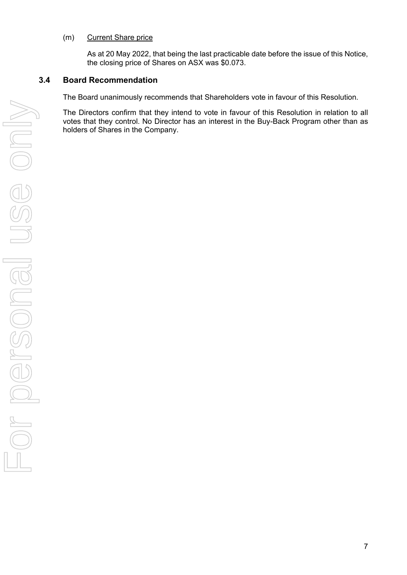#### (m) Current Share price

As at 20 May 2022, that being the last practicable date before the issue of this Notice, the closing price of Shares on ASX was \$0.073.

#### **3.4 Board Recommendation**

The Board unanimously recommends that Shareholders vote in favour of this Resolution.

The Directors confirm that they intend to vote in favour of this Resolution in relation to all votes that they control. No Director has an interest in the Buy-Back Program other than as holders of Shares in the Company.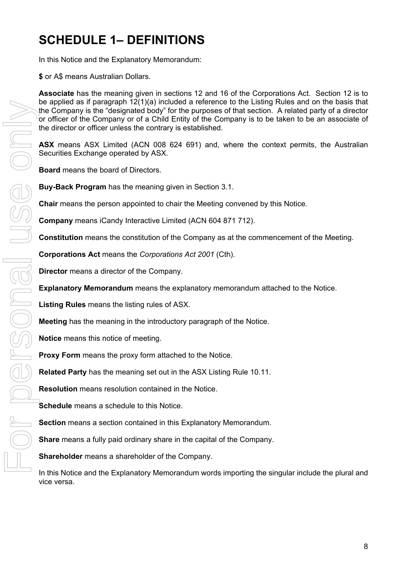# **SCHEDULE 1– DEFINITIONS**

In this Notice and the Explanatory Memorandum:

**\$** or A\$ means Australian Dollars.

**Associate** has the meaning given in sections 12 and 16 of the Corporations Act. Section 12 is to be applied as if paragraph 12(1)(a) included a reference to the Listing Rules and on the basis that the Company is the "designated body" for the purposes of that section. A related party of a director or officer of the Company or of a Child Entity of the Company is to be taken to be an associate of the director or officer unless the contrary is established.

**ASX** means ASX Limited (ACN 008 624 691) and, where the context permits, the Australian Securities Exchange operated by ASX.

**Board** means the board of Directors.

**Buy-Back Program** has the meaning given in Section 3.1.

**Chair** means the person appointed to chair the Meeting convened by this Notice.

**Company** means iCandy Interactive Limited (ACN 604 871 712).

**Constitution** means the constitution of the Company as at the commencement of the Meeting.

**Corporations Act** means the *Corporations Act 2001* (Cth).

**Director** means a director of the Company.

**Explanatory Memorandum** means the explanatory memorandum attached to the Notice.

**Listing Rules** means the listing rules of ASX.

**Meeting** has the meaning in the introductory paragraph of the Notice.

**Notice** means this notice of meeting.

**Proxy Form** means the proxy form attached to the Notice.

**Related Party** has the meaning set out in the ASX Listing Rule 10.11.

**Resolution** means resolution contained in the Notice.

**Schedule** means a schedule to this Notice.

**Section** means a section contained in this Explanatory Memorandum.

**Share** means a fully paid ordinary share in the capital of the Company.

**Shareholder** means a shareholder of the Company.

In this Notice and the Explanatory Memorandum words importing the singular include the plural and vice versa.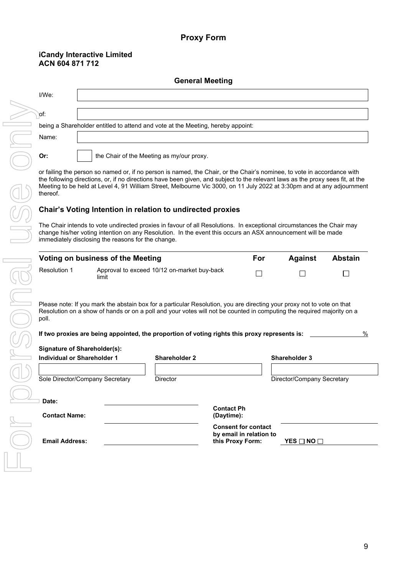#### **Proxy Form**

#### **iCandy Interactive Limited ACN 604 871 712**

| <b>General Meeting</b> |                                                                                                                                                                                                                                                                                                                                                                                                                                                                                                 |  |  |  |  |
|------------------------|-------------------------------------------------------------------------------------------------------------------------------------------------------------------------------------------------------------------------------------------------------------------------------------------------------------------------------------------------------------------------------------------------------------------------------------------------------------------------------------------------|--|--|--|--|
| $I/We$ :               |                                                                                                                                                                                                                                                                                                                                                                                                                                                                                                 |  |  |  |  |
| `pf:                   |                                                                                                                                                                                                                                                                                                                                                                                                                                                                                                 |  |  |  |  |
|                        | being a Shareholder entitled to attend and vote at the Meeting, hereby appoint:                                                                                                                                                                                                                                                                                                                                                                                                                 |  |  |  |  |
| Name:                  |                                                                                                                                                                                                                                                                                                                                                                                                                                                                                                 |  |  |  |  |
| Or:                    | the Chair of the Meeting as my/our proxy.                                                                                                                                                                                                                                                                                                                                                                                                                                                       |  |  |  |  |
|                        | or failing the person so named or, if no person is named, the Chair, or the Chair's nominee, to vote in accordance with<br>the following directions, or, if no directions have been given, and subject to the relevant laws as the proxy sees fit, at the<br>$\mathcal{L}$ , and the set of the contract of the contract of the contract of the contract of the contract of the contract of the contract of the contract of the contract of the contract of the contract of the contract of the |  |  |  |  |

Meeting to be held at Level 4, 91 William Street, Melbourne Vic 3000, on 11 July 2022 at 3:30pm and at any adjournment thereof.

### **Chair's Voting Intention in relation to undirected proxies**

The Chair intends to vote undirected proxies in favour of all Resolutions. In exceptional circumstances the Chair may change his/her voting intention on any Resolution. In the event this occurs an ASX announcement will be made immediately disclosing the reasons for the change.

| Voting on business of the Meeting | For                                                  | Against | Abstain |  |
|-----------------------------------|------------------------------------------------------|---------|---------|--|
| <b>Resolution 1</b>               | Approval to exceed 10/12 on-market buy-back<br>limit |         |         |  |

Please note: If you mark the abstain box for a particular Resolution, you are directing your proxy not to vote on that Resolution on a show of hands or on a poll and your votes will not be counted in computing the required majority on a poll.

| If two proxies are being appointed, the proportion of voting rights this proxy represents is: | $\%$ |
|-----------------------------------------------------------------------------------------------|------|
|                                                                                               |      |

| <b>Signature of Shareholder(s):</b> |                      |                                                                           |                            |
|-------------------------------------|----------------------|---------------------------------------------------------------------------|----------------------------|
| Individual or Shareholder 1         | <b>Shareholder 2</b> |                                                                           | <b>Shareholder 3</b>       |
| Sole Director/Company Secretary     | <b>Director</b>      |                                                                           | Director/Company Secretary |
| Date:                               |                      |                                                                           |                            |
| <b>Contact Name:</b>                |                      | <b>Contact Ph</b><br>(Daytime):                                           |                            |
| <b>Email Address:</b>               |                      | <b>Consent for contact</b><br>by email in relation to<br>this Proxy Form: | YES □ NO □                 |